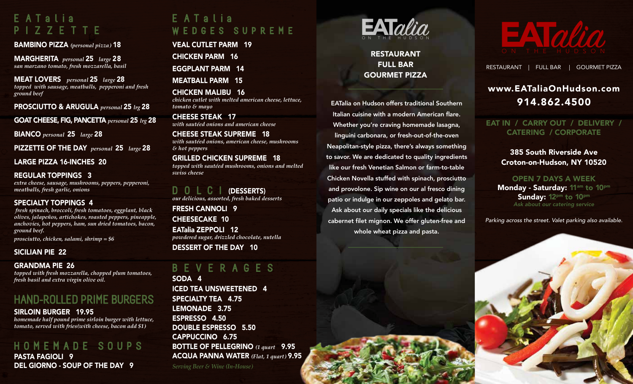## E A T a l i a PIZZETTE

BAMBINO PIZZA *(personal pizza)* 18

MARGHERITA *personal* 25 *large* 28 *san marzano tomato, fresh mozzarella, basil* 

MEAT LOVERS *personal* 25 *large* 28 *topped with sausage, meatballs, pepperoni and fresh ground beef* 

PROSCIUTTO & ARUGULA *personal* 25 *lrg* 28

GOAT CHEESE, FIG, PANCETTA *personal* 25 *lrg* 28

BIANCO *personal* 25 *large* 28

PIZZETTE OF THE DAY *personal* 25 *large* 28

LARGE PIZZA 16-INCHES 20

#### REGULAR TOPPINGS 3

*extra cheese, sausage, mushrooms, peppers, pepperoni, meatballs, fresh garlic, onions*

#### SPECIALTY TOPPINGS 4

 *fresh spinach, broccoli, fresh tomatoes, eggplant, black olives, jalapeños, artichokes, roasted peppers, pineapple, anchovies, hot peppers, ham, sun dried tomatoes, bacon, ground beef.*

*prosciutto, chicken, salami, shrimp = \$6*

### SICILIAN PIE 22

### GRANDMA PIE 26

*topped with fresh mozzarella, chopped plum tomatoes, fresh basil and extra virgin olive oil.*

## HAND-ROLLED PRIME BURGERS

SIRLOIN BURGER 19.95

*homemade half pound prime sirloin burger with lettuce, tomato, served with fries(with cheese, bacon add \$1)*

### HOMEMADE SOUPS

PASTA FAGIOLI 9 DEL GIORNO - SOUP OF THE DAY 9

# E ATa lia WEDGES SUPREME

VEAL CUTLET PARM 19 CHICKEN PARM 16

EGGPLANT PARM 14

MEATBALL PARM 15

CHICKEN MALIBU 16 *chicken cutlet with melted american cheese, lettuce, tomato & mayo*

**SILESE STEAMS TAMES TO A STAGGED STAGGED STAGGED STAGGED STAGGED** CHEESE STEAK 17

CHEESE STEAK SUPREME 18 with sautéed onions, american cheese, mushrooms<br>Sekot namana *& hot peppers*

# GRILLED CHICKEN SUPREME 18

topped with sautéed mushrooms, onions and melted *swiss cheese*

D OLCI (DESSERTS) *our delicious, assorted, fresh baked desserts*

FRESH CANNOLI 9 CHEESECAKE 10

EATalia ZEPPOLI 12 *powdered sugar, drizzled chocolate, nutella*  DESSERT OF THE DAY 10

### B E V E R A G E S

SODA 4 ICED TEA UNSWEETENED 4 SPECIALTY TEA 4.75 LEMONADE 3.75 ESPRESSO 4.50 DOUBLE ESPRESSO 5.50 CAPPUCCINO 6.75 BOTTLE OF PELLEGRINO *(1 quart* 9.95 ACQUA PANNA WATER *(Flat, 1 quart)* 9.95

*Serving Beer & Wine (In-House)*



### RESTAURANT FULL BAR GOURMET PIZZA

EATalia on Hudson offers traditional Southern Italian cuisine with a modern American flare. Whether you're craving homemade lasagna, linguini carbonara, or fresh-out-of-the-oven Neapolitan-style pizza, there's always something to savor. We are dedicated to quality ingredients like our fresh Venetian Salmon or farm-to-table Chicken Novella stuffed with spinach, prosciutto and provolone. Sip wine on our al fresco dining patio or indulge in our zeppoles and gelato bar. Ask about our daily specials like the delicious cabernet filet mignon. We offer gluten-free and whole wheat pizza and pasta.



RESTAURANT | FULL BAR | GOURMET PIZZA

### www.EATaliaOnHudson.com 914.862.4500

EAT IN / CARRY OUT / DELIVERY / CATERING / CORPORATE

> 385 South Riverside Ave Croton-on-Hudson, NY 10520

OPEN 7 DAYS A WEEK Monday - Saturday: 11<sup>am</sup> to 10<sup>pm</sup> Sunday: 12pm to 10pm *Ask about our catering service*

*Parking across the street. Valet parking also available.*